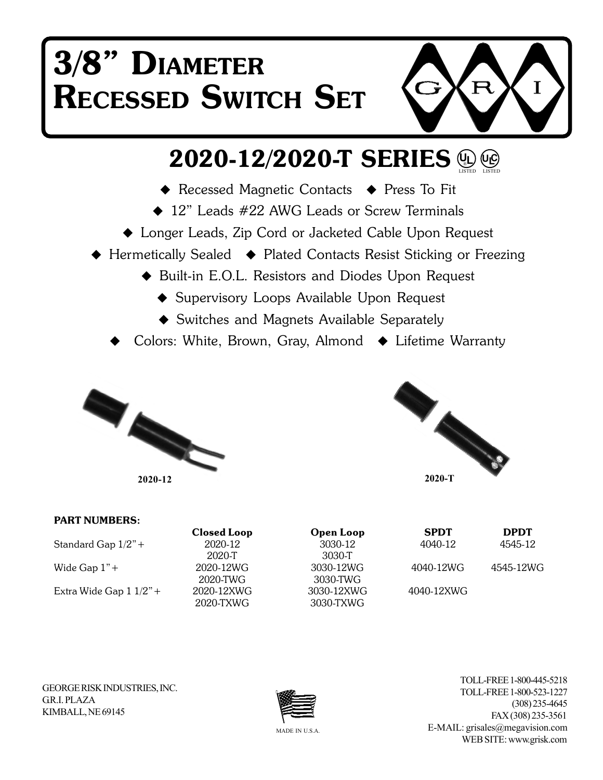# **3/8" DIAMETER RECESSED SWITCH SET**



### **2020-12/2020-T SERIES UL**) (UC)<br>LISTED LISTED

- ◆ Recessed Magnetic Contacts ◆ Press To Fit
- ◆ 12" Leads #22 AWG Leads or Screw Terminals
- Longer Leads, Zip Cord or Jacketed Cable Upon Request
- ◆ Hermetically Sealed → Plated Contacts Resist Sticking or Freezing
	- ◆ Built-in E.O.L. Resistors and Diodes Upon Request
		- ◆ Supervisory Loops Available Upon Request
		- ◆ Switches and Magnets Available Separately
	- Colors: White, Brown, Gray, Almond ♦ Lifetime Warranty





#### **PART NUMBERS: Closed Loop Open Loop SPDT DPDT** Standard Gap 1/2"+ 2020-12 3030-12 4040-12 4545-12 2020-T 3030-T Wide Gap 1"+ 2020-12WG 3030-12WG 4040-12WG 4545-12WG 2020-TWG 3030-TWG Extra Wide Gap 1 1/2"+ 2020-12XWG 3030-12XWG 4040-12XWG 2020-TXWG 3030-TXWG

GEORGE RISK INDUSTRIES, INC. **GR.I. PLAZA** KIMBALL, NE 69145



TOLL-FREE 1-800-445-5218 TOLL-FREE 1-800-523-1227 (308) 235-4645 FAX (308) 235-3561 E-MAIL: grisales@megavision.com WEB SITE: www.grisk.com

MADE IN U.S.A.